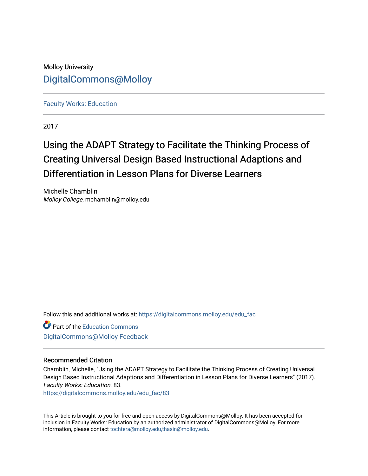# Molloy University [DigitalCommons@Molloy](https://digitalcommons.molloy.edu/)

[Faculty Works: Education](https://digitalcommons.molloy.edu/edu_fac) 

2017

# Using the ADAPT Strategy to Facilitate the Thinking Process of Creating Universal Design Based Instructional Adaptions and Differentiation in Lesson Plans for Diverse Learners

Michelle Chamblin Molloy College, mchamblin@molloy.edu

Follow this and additional works at: [https://digitalcommons.molloy.edu/edu\\_fac](https://digitalcommons.molloy.edu/edu_fac?utm_source=digitalcommons.molloy.edu%2Fedu_fac%2F83&utm_medium=PDF&utm_campaign=PDFCoverPages)

Part of the [Education Commons](https://network.bepress.com/hgg/discipline/784?utm_source=digitalcommons.molloy.edu%2Fedu_fac%2F83&utm_medium=PDF&utm_campaign=PDFCoverPages) [DigitalCommons@Molloy Feedback](https://molloy.libwizard.com/f/dcfeedback)

# Recommended Citation

Chamblin, Michelle, "Using the ADAPT Strategy to Facilitate the Thinking Process of Creating Universal Design Based Instructional Adaptions and Differentiation in Lesson Plans for Diverse Learners" (2017). Faculty Works: Education. 83.

[https://digitalcommons.molloy.edu/edu\\_fac/83](https://digitalcommons.molloy.edu/edu_fac/83?utm_source=digitalcommons.molloy.edu%2Fedu_fac%2F83&utm_medium=PDF&utm_campaign=PDFCoverPages) 

This Article is brought to you for free and open access by DigitalCommons@Molloy. It has been accepted for inclusion in Faculty Works: Education by an authorized administrator of DigitalCommons@Molloy. For more information, please contact [tochtera@molloy.edu,thasin@molloy.edu.](mailto:tochtera@molloy.edu,thasin@molloy.edu)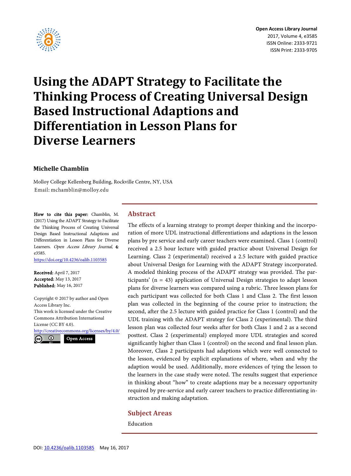

# **Using the ADAPT Strategy to Facilitate the Thinking Process of Creating Universal Design Based Instructional Adaptions and Differentiation in Lesson Plans for Diverse Learners**

# **Michelle Chamblin**

Molloy College Kellenberg Building, Rockville Centre, NY, USA Email: mchamblin@molloy.edu

How to cite this paper: Chamblin, M. (2017) Using the ADAPT Strategy to Facilitate the Thinking Process of Creating Universal Design Based Instructional Adaptions and Differentiation in Lesson Plans for Diverse Learners. Open Access Library Journal, 4: e3585.

<https://doi.org/10.4236/oalib.1103585>

Received: April 7, 2017 Accepted: May 13, 2017 Published: May 16, 2017

Copyright © 2017 by author and Open Access Library Inc. This work is licensed under the Creative Commons Attribution International License (CC BY 4.0). <http://creativecommons.org/licenses/by/4.0/>



Open Access

#### **Abstract**

The effects of a learning strategy to prompt deeper thinking and the incorporation of more UDL instructional differentiations and adaptions in the lesson plans by pre service and early career teachers were examined. Class 1 (control) received a 2.5 hour lecture with guided practice about Universal Design for Learning. Class 2 (experimental) received a 2.5 lecture with guided practice about Universal Design for Learning with the ADAPT Strategy incorporated. A modeled thinking process of the ADAPT strategy was provided. The participants' (n = 43) application of Universal Design strategies to adapt lesson plans for diverse learners was compared using a rubric. Three lesson plans for each participant was collected for both Class 1 and Class 2. The first lesson plan was collected in the beginning of the course prior to instruction; the second, after the 2.5 lecture with guided practice for Class 1 (control) and the UDL training with the ADAPT strategy for Class 2 (experimental). The third lesson plan was collected four weeks after for both Class 1 and 2 as a second posttest. Class 2 (experimental) employed more UDL strategies and scored significantly higher than Class 1 (control) on the second and final lesson plan. Moreover, Class 2 participants had adaptions which were well connected to the lesson, evidenced by explicit explanations of where, when and why the adaption would be used. Additionally, more evidences of tying the lesson to the learners in the case study were noted. The results suggest that experience in thinking about "how" to create adaptions may be a necessary opportunity required by pre-service and early career teachers to practice differentiating instruction and making adaptation.

#### **Subject Areas**

Education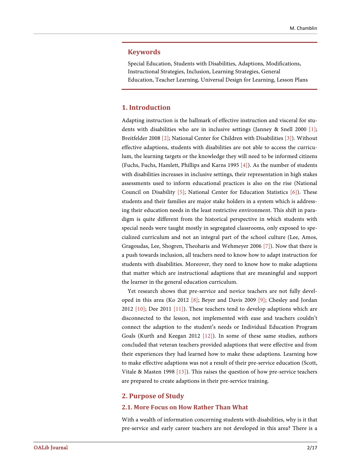#### **Keywords**

Special Education, Students with Disabilities, Adaptions, Modifications, Instructional Strategies, Inclusion, Learning Strategies, General Education, Teacher Learning, Universal Design for Learning, Lesson Plans

#### **1. Introduction**

Adapting instruction is the hallmark of effective instruction and visceral for students with disabilities who are in inclusive settings (Janney & Snell 2000 [\[1\];](#page-13-0) Breitfelder 2008 [\[2\];](#page-13-1) National Center for Children with Disabilities [\[3\]\)](#page-13-2). Without effective adaptions, students with disabilities are not able to access the curriculum, the learning targets or the knowledge they will need to be informed citizens (Fuchs, Fuchs, Hamlett, Phillips and Karns 1995 [\[4\]\)](#page-13-3). As the number of students with disabilities increases in inclusive settings, their representation in high stakes assessments used to inform educational practices is also on the rise (National Council on Disability [\[5\];](#page-14-0) National Center for Education Statistics [\[6\]\)](#page-14-1). These students and their families are major stake holders in a system which is addressing their education needs in the least restrictive environment. This shift in paradigm is quite different from the historical perspective in which students with special needs were taught mostly in segregated classrooms, only exposed to specialized curriculum and not an integral part of the school culture (Lee, Amos, Gragoudas, Lee, Shogren, Theoharis and Wehmeyer 2006 [\[7\]\)](#page-14-2). Now that there is a push towards inclusion, all teachers need to know how to adapt instruction for students with disabilities. Moreover, they need to know how to make adaptions that matter which are instructional adaptions that are meaningful and support the learner in the general education curriculum.

Yet research shows that pre-service and novice teachers are not fully developed in this area (Ko 2012 [\[8\];](#page-14-3) Beyer and Davis 2009 [\[9\];](#page-14-4) Chesley and Jordan 2012  $[10]$ ; Dee 2011  $[11]$ ). These teachers tend to develop adaptions which are disconnected to the lesson, not implemented with ease and teachers couldn't connect the adaption to the student's needs or Individual Education Program Goals (Kurth and Keegan 2012 [\[12\]\)](#page-14-7). In some of these same studies, authors concluded that veteran teachers provided adaptions that were effective and from their experiences they had learned how to make these adaptions. Learning how to make effective adaptions was not a result of their pre-service education (Scott, Vitale & Masten 1998 [\[13\]\)](#page-14-8). This raises the question of how pre-service teachers are prepared to create adaptions in their pre-service training.

#### **2. Purpose of Study**

#### **2.1. More Focus on How Rather Than What**

With a wealth of information concerning students with disabilities, why is it that pre-service and early career teachers are not developed in this area? There is a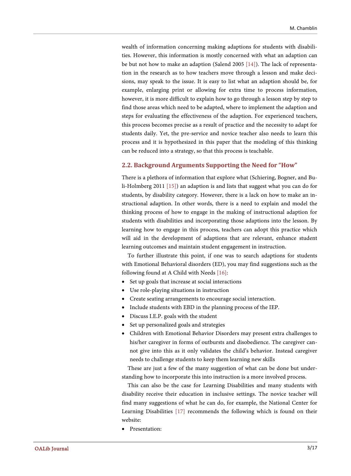wealth of information concerning making adaptions for students with disabilities. However, this information is mostly concerned with what an adaption can be but not how to make an adaption (Salend 2005 [\[14\]\)](#page-14-9). The lack of representation in the research as to how teachers move through a lesson and make decisions, may speak to the issue. It is easy to list what an adaption should be, for example, enlarging print or allowing for extra time to process information, however, it is more difficult to explain how to go through a lesson step by step to find those areas which need to be adapted, where to implement the adaption and steps for evaluating the effectiveness of the adaption. For experienced teachers, this process becomes precise as a result of practice and the necessity to adapt for students daily. Yet, the pre-service and novice teacher also needs to learn this process and it is hypothesized in this paper that the modeling of this thinking can be reduced into a strategy, so that this process is teachable.

#### **2.2. Background Arguments Supporting the Need for "How"**

There is a plethora of information that explore what (Schiering, Bogner, and Buli-Holmberg 2011 [\[15\]\)](#page-14-10) an adaption is and lists that suggest what you can do for students, by disability category. However, there is a lack on how to make an instructional adaption. In other words, there is a need to explain and model the thinking process of how to engage in the making of instructional adaption for students with disabilities and incorporating those adaptions into the lesson. By learning how to engage in this process, teachers can adopt this practice which will aid in the development of adaptions that are relevant, enhance student learning outcomes and maintain student engagement in instruction.

To further illustrate this point, if one was to search adaptions for students with Emotional Behavioral disorders (ED), you may find suggestions such as the following found at A Child with Needs [\[16\]:](#page-14-11)

- Set up goals that increase at social interactions
- Use role-playing situations in instruction
- Create seating arrangements to encourage social interaction.
- Include students with EBD in the planning process of the IEP.
- Discuss I.E.P. goals with the student
- Set up personalized goals and strategies
- Children with Emotional Behavior Disorders may present extra challenges to his/her caregiver in forms of outbursts and disobedience. The caregiver cannot give into this as it only validates the child's behavior. Instead caregiver needs to challenge students to keep them learning new skills

These are just a few of the many suggestion of what can be done but understanding how to incorporate this into instruction is a more involved process.

This can also be the case for Learning Disabilities and many students with disability receive their education in inclusive settings. The novice teacher will find many suggestions of what he can do, for example, the National Center for Learning Disabilities [\[17\]](#page-14-12) recommends the following which is found on their website:

• Presentation: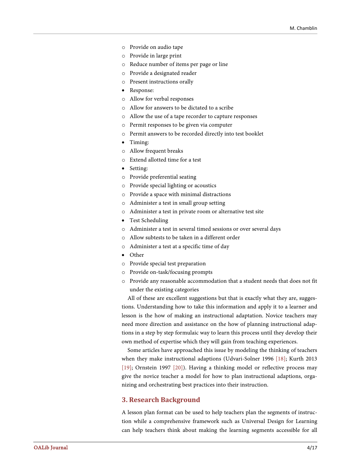- o Provide on audio tape
- o Provide in large print
- o Reduce number of items per page or line
- o Provide a designated reader
- o Present instructions orally
- Response:
- o Allow for verbal responses
- o Allow for answers to be dictated to a scribe
- o Allow the use of a tape recorder to capture responses
- o Permit responses to be given via computer
- o Permit answers to be recorded directly into test booklet
- Timing:
- o Allow frequent breaks
- o Extend allotted time for a test
- Setting:
- o Provide preferential seating
- o Provide special lighting or acoustics
- o Provide a space with minimal distractions
- o Administer a test in small group setting
- o Administer a test in private room or alternative test site
- Test Scheduling
- o Administer a test in several timed sessions or over several days
- o Allow subtests to be taken in a different order
- o Administer a test at a specific time of day
- Other
- o Provide special test preparation
- o Provide on-task/focusing prompts
- o Provide any reasonable accommodation that a student needs that does not fit under the existing categories

All of these are excellent suggestions but that is exactly what they are, suggestions. Understanding how to take this information and apply it to a learner and lesson is the how of making an instructional adaptation. Novice teachers may need more direction and assistance on the how of planning instructional adaptions in a step by step formulaic way to learn this process until they develop their own method of expertise which they will gain from teaching experiences.

Some articles have approached this issue by modeling the thinking of teachers when they make instructional adaptions (Udvari-Solner 1996 [\[18\];](#page-14-13) Kurth 2013 [\[19\];](#page-14-14) Ornstein 1997 [\[20\]\)](#page-14-15). Having a thinking model or reflective process may give the novice teacher a model for how to plan instructional adaptions, organizing and orchestrating best practices into their instruction.

#### **3. Research Background**

A lesson plan format can be used to help teachers plan the segments of instruction while a comprehensive framework such as Universal Design for Learning can help teachers think about making the learning segments accessible for all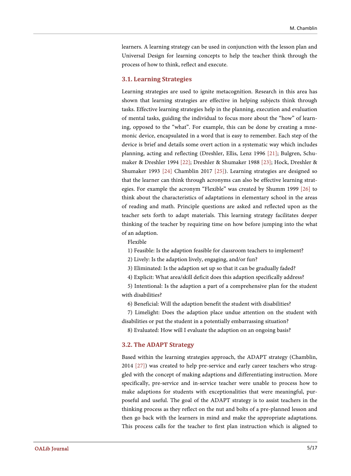learners. A learning strategy can be used in conjunction with the lesson plan and Universal Design for learning concepts to help the teacher think through the process of how to think, reflect and execute.

#### **3.1. Learning Strategies**

Learning strategies are used to ignite metacognition. Research in this area has shown that learning strategies are effective in helping subjects think through tasks. Effective learning strategies help in the planning, execution and evaluation of mental tasks, guiding the individual to focus more about the "how" of learning, opposed to the "what". For example, this can be done by creating a mnemonic device, encapsulated in a word that is easy to remember. Each step of the device is brief and details some overt action in a systematic way which includes planning, acting and reflecting (Dreshler, Ellis, Lenz 1996 [\[21\];](#page-14-16) Bulgren, Schumaker & Dreshler 1994 [\[22\];](#page-14-17) Dreshler & Shumaker 1988 [\[23\];](#page-15-0) Hock, Dreshler & Shumaker 1993 [\[24\]](#page-15-1) Chamblin 2017 [\[25\]\)](#page-15-2). Learning strategies are designed so that the learner can think through acronyms can also be effective learning strategies. For example the acronym "Flexible" was created by Shumm 1999 [\[26\]](#page-15-3) to think about the characteristics of adaptations in elementary school in the areas of reading and math. Principle questions are asked and reflected upon as the teacher sets forth to adapt materials. This learning strategy facilitates deeper thinking of the teacher by requiring time on how before jumping into the what of an adaption.

Flexible

1) Feasible: Is the adaption feasible for classroom teachers to implement?

2) Lively: Is the adaption lively, engaging, and/or fun?

3) Eliminated: Is the adaption set up so that it can be gradually faded?

4) Explicit: What area/skill deficit does this adaption specifically address?

5) Intentional: Is the adaption a part of a comprehensive plan for the student with disabilities?

6) Beneficial: Will the adaption benefit the student with disabilities?

7) Limelight: Does the adaption place undue attention on the student with disabilities or put the student in a potentially embarrassing situation?

8) Evaluated: How will I evaluate the adaption on an ongoing basis?

#### **3.2. The ADAPT Strategy**

Based within the learning strategies approach, the ADAPT strategy (Chamblin, 2014 [\[27\]\)](#page-15-4) was created to help pre-service and early career teachers who struggled with the concept of making adaptions and differentiating instruction. More specifically, pre-service and in-service teacher were unable to process how to make adaptions for students with exceptionalities that were meaningful, purposeful and useful. The goal of the ADAPT strategy is to assist teachers in the thinking process as they reflect on the nut and bolts of a pre-planned lesson and then go back with the learners in mind and make the appropriate adaptations. This process calls for the teacher to first plan instruction which is aligned to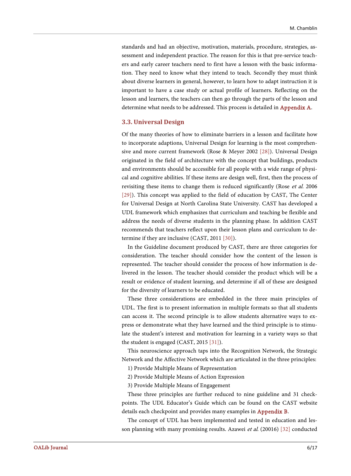standards and had an objective, motivation, materials, procedure, strategies, assessment and independent practice. The reason for this is that pre-service teachers and early career teachers need to first have a lesson with the basic information. They need to know what they intend to teach. Secondly they must think about diverse learners in general, however, to learn how to adapt instruction it is important to have a case study or actual profile of learners. Reflecting on the lesson and learners, the teachers can then go through the parts of the lesson and determine what needs to be addressed. This process is detailed in [Appendix A.](#page-16-0)

#### **3.3. Universal Design**

Of the many theories of how to eliminate barriers in a lesson and facilitate how to incorporate adaptions, Universal Design for learning is the most comprehensive and more current framework (Rose & Meyer 2002 [\[28\]\)](#page-15-5). Universal Design originated in the field of architecture with the concept that buildings, products and environments should be accessible for all people with a wide range of physical and cognitive abilities. If these items are design well, first, then the process of revisiting these items to change them is reduced significantly (Rose et al. 2006 [\[29\]\)](#page-15-6). This concept was applied to the field of education by CAST, The Center for Universal Design at North Carolina State University. CAST has developed a UDL framework which emphasizes that curriculum and teaching be flexible and address the needs of diverse students in the planning phase. In addition CAST recommends that teachers reflect upon their lesson plans and curriculum to determine if they are inclusive (CAST, 2011 [\[30\]\)](#page-15-7).

In the Guideline document produced by CAST, there are three categories for consideration. The teacher should consider how the content of the lesson is represented. The teacher should consider the process of how information is delivered in the lesson. The teacher should consider the product which will be a result or evidence of student learning, and determine if all of these are designed for the diversity of learners to be educated.

These three considerations are embedded in the three main principles of UDL. The first is to present information in multiple formats so that all students can access it. The second principle is to allow students alternative ways to express or demonstrate what they have learned and the third principle is to stimulate the student's interest and motivation for learning in a variety ways so that the student is engaged (CAST, 2015 [\[31\]\)](#page-15-8).

This neuroscience approach taps into the Recognition Network, the Strategic Network and the Affective Network which are articulated in the three principles:

1) Provide Multiple Means of Representation

2) Provide Multiple Means of Action Expression

3) Provide Multiple Means of Engagement

These three principles are further reduced to nine guideline and 31 checkpoints. The UDL Educator's Guide which can be found on the CAST website details each checkpoint and provides many examples i[n Appendix B.](#page-16-1)

The concept of UDL has been implemented and tested in education and lesson planning with many promising results. Azawei et al. (20016) [\[32\]](#page-15-9) conducted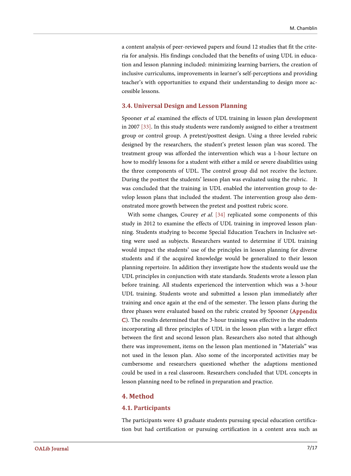a content analysis of peer-reviewed papers and found 12 studies that fit the criteria for analysis. His findings concluded that the benefits of using UDL in education and lesson planning included: minimizing learning barriers, the creation of inclusive curriculums, improvements in learner's self-perceptions and providing teacher's with opportunities to expand their understanding to design more accessible lessons.

#### **3.4. Universal Design and Lesson Planning**

Spooner et al. examined the effects of UDL training in lesson plan development in 2007 [\[33\].](#page-15-10) In this study students were randomly assigned to either a treatment group or control group. A pretest/posttest design. Using a three leveled rubric designed by the researchers, the student's pretest lesson plan was scored. The treatment group was afforded the intervention which was a 1-hour lecture on how to modify lessons for a student with either a mild or severe disabilities using the three components of UDL. The control group did not receive the lecture. During the posttest the students' lesson plan was evaluated using the rubric. It was concluded that the training in UDL enabled the intervention group to develop lesson plans that included the student. The intervention group also demonstrated more growth between the pretest and posttest rubric score.

With some changes, Courey et al. [\[34\]](#page-15-11) replicated some components of this study in 2012 to examine the effects of UDL training in improved lesson planning. Students studying to become Special Education Teachers in Inclusive setting were used as subjects. Researchers wanted to determine if UDL training would impact the students' use of the principles in lesson planning for diverse students and if the acquired knowledge would be generalized to their lesson planning repertoire. In addition they investigate how the students would use the UDL principles in conjunction with state standards. Students wrote a lesson plan before training. All students experienced the intervention which was a 3-hour UDL training. Students wrote and submitted a lesson plan immediately after training and once again at the end of the semester. The lesson plans during the three phases were evaluated based on the rubric created by Spooner [\(Appendix](#page-17-0)  [C\)](#page-17-0). The results determined that the 3-hour training was effective in the students incorporating all three principles of UDL in the lesson plan with a larger effect between the first and second lesson plan. Researchers also noted that although there was improvement, items on the lesson plan mentioned in "Materials" was not used in the lesson plan. Also some of the incorporated activities may be cumbersome and researchers questioned whether the adaptions mentioned could be used in a real classroom. Researchers concluded that UDL concepts in lesson planning need to be refined in preparation and practice.

#### **4. Method**

#### **4.1. Participants**

The participants were 43 graduate students pursuing special education certification but had certification or pursuing certification in a content area such as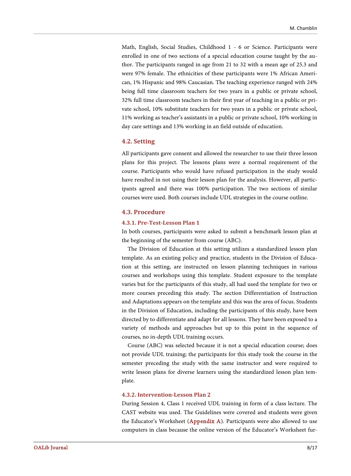Math, English, Social Studies, Childhood 1 - 6 or Science. Participants were enrolled in one of two sections of a special education course taught by the author. The participants ranged in age from 21 to 32 with a mean age of 25.3 and were 97% female. The ethnicities of these participants were 1% African American, 1% Hispanic and 98% Caucasian. The teaching experience ranged with 24% being full time classroom teachers for two years in a public or private school, 32% full time classroom teachers in their first year of teaching in a public or private school, 10% substitute teachers for two years in a public or private school, 11% working as teacher's assistants in a public or private school, 10% working in day care settings and 13% working in an field outside of education.

#### **4.2. Setting**

All participants gave consent and allowed the researcher to use their three lesson plans for this project. The lessons plans were a normal requirement of the course. Participants who would have refused participation in the study would have resulted in not using their lesson plan for the analysis. However, all participants agreed and there was 100% participation. The two sections of similar courses were used. Both courses include UDL strategies in the course outline.

#### **4.3. Procedure**

#### **4.3.1. Pre-Test-Lesson Plan 1**

In both courses, participants were asked to submit a benchmark lesson plan at the beginning of the semester from course (ABC).

The Division of Education at this setting utilizes a standardized lesson plan template. As an existing policy and practice, students in the Division of Education at this setting, are instructed on lesson planning techniques in various courses and workshops using this template. Student exposure to the template varies but for the participants of this study, all had used the template for two or more courses preceding this study. The section Differentiation of Instruction and Adaptations appears on the template and this was the area of focus. Students in the Division of Education, including the participants of this study, have been directed by to differentiate and adapt for all lessons. They have been exposed to a variety of methods and approaches but up to this point in the sequence of courses, no in-depth UDL training occurs.

Course (ABC) was selected because it is not a special education course; does not provide UDL training; the participants for this study took the course in the semester preceding the study with the same instructor and were required to write lesson plans for diverse learners using the standardized lesson plan template.

#### **4.3.2. Intervention-Lesson Plan 2**

During Session 4, Class 1 received UDL training in form of a class lecture. The CAST website was used. The Guidelines were covered and students were given the Educator's Worksheet [\(Appendix A\)](#page-16-0). Participants were also allowed to use computers in class because the online version of the Educator's Worksheet fur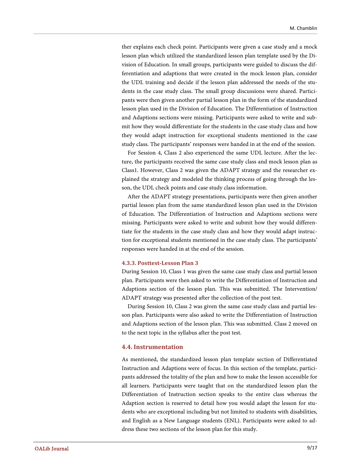ther explains each check point. Participants were given a case study and a mock lesson plan which utilized the standardized lesson plan template used by the Division of Education. In small groups, participants were guided to discuss the differentiation and adaptions that were created in the mock lesson plan, consider the UDL training and decide if the lesson plan addressed the needs of the students in the case study class. The small group discussions were shared. Participants were then given another partial lesson plan in the form of the standardized lesson plan used in the Division of Education. The Differentiation of Instruction and Adaptions sections were missing. Participants were asked to write and submit how they would differentiate for the students in the case study class and how they would adapt instruction for exceptional students mentioned in the case study class. The participants' responses were handed in at the end of the session.

For Session 4, Class 2 also experienced the same UDL lecture. After the lecture, the participants received the same case study class and mock lesson plan as Class1. However, Class 2 was given the ADAPT strategy and the researcher explained the strategy and modeled the thinking process of going through the lesson, the UDL check points and case study class information.

After the ADAPT strategy presentations, participants were then given another partial lesson plan from the same standardized lesson plan used in the Division of Education. The Differentiation of Instruction and Adaptions sections were missing. Participants were asked to write and submit how they would differentiate for the students in the case study class and how they would adapt instruction for exceptional students mentioned in the case study class. The participants' responses were handed in at the end of the session.

#### **4.3.3. Posttest-Lesson Plan 3**

During Session 10, Class 1 was given the same case study class and partial lesson plan. Participants were then asked to write the Differentiation of Instruction and Adaptions section of the lesson plan. This was submitted. The Intervention/ ADAPT strategy was presented after the collection of the post test.

During Session 10, Class 2 was given the same case study class and partial lesson plan. Participants were also asked to write the Differentiation of Instruction and Adaptions section of the lesson plan. This was submitted. Class 2 moved on to the next topic in the syllabus after the post test.

#### **4.4. Instrumentation**

As mentioned, the standardized lesson plan template section of Differentiated Instruction and Adaptions were of focus. In this section of the template, participants addressed the totality of the plan and how to make the lesson accessible for all learners. Participants were taught that on the standardized lesson plan the Differentiation of Instruction section speaks to the entire class whereas the Adaption section is reserved to detail how you would adapt the lesson for students who are exceptional including but not limited to students with disabilities, and English as a New Language students (ENL). Participants were asked to address these two sections of the lesson plan for this study.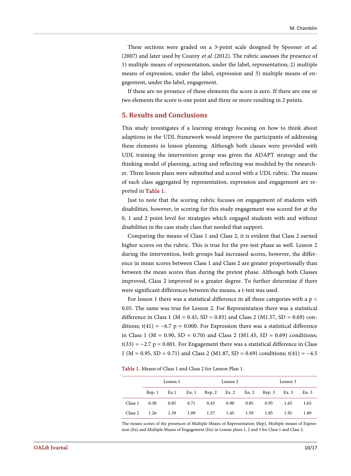These sections were graded on a 3-point scale designed by Spooner et al. (2007) and later used by Courey et al. (2012). The rubric assesses the presence of 1) multiple means of representation, under the label, representation; 2) multiple means of expression, under the label, expression and 3) multiple means of engagement, under the label, engagement.

If these are no presence of these elements the score is zero. If there are one or two elements the score is one point and three or more resulting in 2 points.

#### **5. Results and Conclusions**

This study investigates if a learning strategy focusing on how to think about adaptions in the UDL framework would improve the participants of addressing these elements in lesson planning. Although both classes were provided with UDL training the intervention group was given the ADAPT strategy and the thinking model of planning, acting and reflecting was modeled by the researcher. Three lesson plans were submitted and scored with a UDL rubric. The means of each class aggregated by representation, expression and engagement are reported in [Table 1.](#page-10-0)

Just to note that the scoring rubric focuses on engagement of students with disabilities, however, in scoring for this study engagement was scored for at the 0, 1 and 2 point level for strategies which engaged students with and without disabilities in the case study class that needed that support.

Comparing the means of Class 1 and Class 2, it is evident that Class 2 earned higher scores on the rubric. This is true for the pre-test phase as well. Lesson 2 during the intervention, both groups had increased scores, however, the difference in mean scores between Class 1 and Class 2 are greater proportionally than between the mean scores than during the pretest phase. Although both Classes improved, Class 2 improved to a greater degree. To further determine if there were significant differences between the means, a t-test was used.

For lesson 1 there was a statistical difference in all three categories with a  $p \lt$ 0.05. The same was true for Lesson 2. For Representation there was a statistical difference in Class 1 ( $M = 0.45$ ,  $SD = 0.85$ ) and Class 2 ( $M1.57$ ,  $SD = 0.69$ ) conditions; t(41) =  $-6.7$  p = 0.000. For Expression there was a statistical difference in Class 1 ( $M = 0.90$ ,  $SD = 0.70$ ) and Class 2 ( $M1.45$ ,  $SD = 0.69$ ) conditions;  $t(33) = -2.7$  p = 0.001. For Engagement there was a statistical difference in Class 1 (M = 0.95, SD = 0.71) and Class 2 (M1.87, SD = 0.69) conditions; t(41) = −4.5

<span id="page-10-0"></span>Table 1. Means of Class 1 and Class 2 for Lesson Plan 1.

| Lesson 1              |  |  | Lesson 2                                                 |  |  | Lesson 3 |      |      |
|-----------------------|--|--|----------------------------------------------------------|--|--|----------|------|------|
|                       |  |  | Rep. 1 Ex. 1 En. 1 Rep. 2 Ex. 2 En. 2 Rep. 3 Ex. 3 En. 3 |  |  |          |      |      |
|                       |  |  | Class 1 0.30 0.85 0.71 0.45 0.90 0.85 0.95 1.65 1.65     |  |  |          |      |      |
| Class 2 $1.26$ $1.39$ |  |  | 1.09 1.57 1.45 1.59 1.85                                 |  |  |          | 1.91 | 1.89 |

The means scores of the presences of Multiple Means of Representation (Rep), Multiple means of Expression (Ex) and Multiple Means of Engagement (En) in Lesson plans 1, 2 and 3 for Class 1 and Class 2.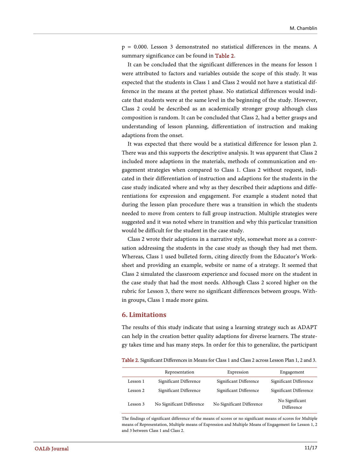p = 0.000. Lesson 3 demonstrated no statistical differences in the means. A summary significance can be found in [Table 2.](#page-11-0)

It can be concluded that the significant differences in the means for lesson 1 were attributed to factors and variables outside the scope of this study. It was expected that the students in Class 1 and Class 2 would not have a statistical difference in the means at the pretest phase. No statistical differences would indicate that students were at the same level in the beginning of the study. However, Class 2 could be described as an academically stronger group although class composition is random. It can be concluded that Class 2, had a better grasps and understanding of lesson planning, differentiation of instruction and making adaptions from the onset.

It was expected that there would be a statistical difference for lesson plan 2. There was and this supports the descriptive analysis. It was apparent that Class 2 included more adaptions in the materials, methods of communication and engagement strategies when compared to Class 1. Class 2 without request, indicated in their differentiation of instruction and adaptions for the students in the case study indicated where and why as they described their adaptions and differentiations for expression and engagement. For example a student noted that during the lesson plan procedure there was a transition in which the students needed to move from centers to full group instruction. Multiple strategies were suggested and it was noted where in transition and why this particular transition would be difficult for the student in the case study.

Class 2 wrote their adaptions in a narrative style, somewhat more as a conversation addressing the students in the case study as though they had met them. Whereas, Class 1 used bulleted form, citing directly from the Educator's Worksheet and providing an example, website or name of a strategy. It seemed that Class 2 simulated the classroom experience and focused more on the student in the case study that had the most needs. Although Class 2 scored higher on the rubric for Lesson 3, there were no significant differences between groups. Within groups, Class 1 made more gains.

## **6. Limitations**

The results of this study indicate that using a learning strategy such as ADAPT can help in the creation better quality adaptions for diverse learners. The strategy takes time and has many steps. In order for this to generalize, the participant

Table 2. Significant Differences in Means for Class 1 and Class 2 across Lesson Plan 1, 2 and 3.

<span id="page-11-0"></span>

|          | Representation            | Expression                | Engagement                   |
|----------|---------------------------|---------------------------|------------------------------|
| Lesson 1 | Significant Difference    | Significant Difference    | Significant Difference       |
| Lesson 2 | Significant Difference    | Significant Difference    | Significant Difference       |
| Lesson 3 | No Significant Difference | No Significant Difference | No Significant<br>Difference |

The findings of significant difference of the means of scores or no significant means of scores for Multiple means of Representation, Multiple means of Expression and Multiple Means of Engagement for Lesson 1, 2 and 3 between Class 1 and Class 2.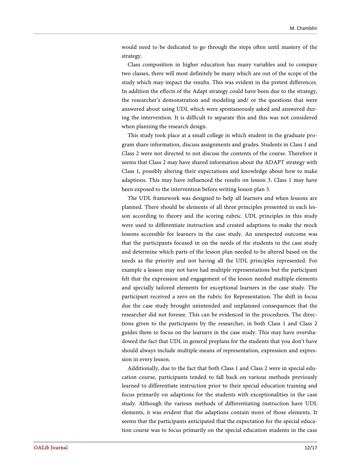would need to be dedicated to go through the steps often until mastery of the strategy.

Class composition in higher education has many variables and to compare two classes, there will most definitely be many which are out of the scope of the study which may impact the results. This was evident in the pretest differences. In addition the effects of the Adapt strategy could have been due to the strategy, the researcher's demonstration and modeling and/ or the questions that were answered about using UDL which were spontaneously asked and answered during the intervention. It is difficult to separate this and this was not considered when planning the research design.

This study took place at a small college in which student in the graduate program share information, discuss assignments and grades. Students in Class 1 and Class 2 were not directed to not discuss the contents of the course. Therefore it seems that Class 2 may have shared information about the ADAPT strategy with Class 1, possibly altering their expectations and knowledge about how to make adaptions. This may have influenced the results on lesson 3. Class 1 may have been exposed to the intervention before writing lesson plan 3.

The UDL framework was designed to help all learners and when lessons are planned. There should be elements of all three principles presented in each lesson according to theory and the scoring rubric. UDL principles in this study were used to differentiate instruction and created adaptions to make the mock lessons accessible for learners in the case study. An unexpected outcome was that the participants focused in on the needs of the students in the case study and determine which parts of the lesson plan needed to be altered based on the needs as the priority and not having all the UDL principles represented. For example a lesson may not have had multiple representations but the participant felt that the expression and engagement of the lesson needed multiple elements and specially tailored elements for exceptional learners in the case study. The participant received a zero on the rubric for Representation. The shift in focus due the case study brought unintended and unplanned consequences that the researcher did not foresee. This can be evidenced in the procedures. The directions given to the participants by the researcher, in both Class 1 and Class 2 guides them to focus on the learners in the case study. This may have overshadowed the fact that UDL in general preplans for the students that you don't have should always include multiple means of representation, expression and expression in every lesson.

Additionally, due to the fact that both Class 1 and Class 2 were in special education course, participants tended to fall back on various methods previously learned to differentiate instruction prior to their special education training and focus primarily on adaptions for the students with exceptionalities in the case study. Although the various methods of differentiating instruction have UDL elements, it was evident that the adaptions contain more of those elements. It seems that the participants anticipated that the expectation for the special education course was to focus primarily on the special education students in the case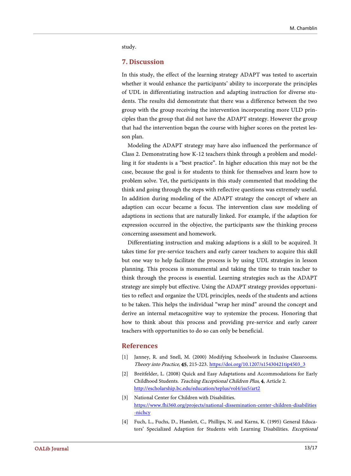study.

# **7. Discussion**

In this study, the effect of the learning strategy ADAPT was tested to ascertain whether it would enhance the participants' ability to incorporate the principles of UDL in differentiating instruction and adapting instruction for diverse students. The results did demonstrate that there was a difference between the two group with the group receiving the intervention incorporating more ULD principles than the group that did not have the ADAPT strategy. However the group that had the intervention began the course with higher scores on the pretest lesson plan.

Modeling the ADAPT strategy may have also influenced the performance of Class 2. Demonstrating how K-12 teachers think through a problem and modelling it for students is a "best practice". In higher education this may not be the case, because the goal is for students to think for themselves and learn how to problem solve. Yet, the participants in this study commented that modeling the think and going through the steps with reflective questions was extremely useful. In addition during modeling of the ADAPT strategy the concept of where an adaption can occur became a focus. The intervention class saw modeling of adaptions in sections that are naturally linked. For example, if the adaption for expression occurred in the objective, the participants saw the thinking process concerning assessment and homework.

Differentiating instruction and making adaptions is a skill to be acquired. It takes time for pre-service teachers and early career teachers to acquire this skill but one way to help facilitate the process is by using UDL strategies in lesson planning. This process is monumental and taking the time to train teacher to think through the process is essential. Learning strategies such as the ADAPT strategy are simply but effective. Using the ADAPT strategy provides opportunities to reflect and organize the UDL principles, needs of the students and actions to be taken. This helps the individual "wrap her mind" around the concept and derive an internal metacognitive way to systemize the process. Honoring that how to think about this process and providing pre-service and early career teachers with opportunities to do so can only be beneficial.

## **References**

- <span id="page-13-0"></span>[1] Janney, R. and Snell, M. (2000) Modifying Schoolwork in Inclusive Classrooms. Theory into Practice, 45, 215-223. [https://doi.org/10.1207/s15430421tip4503\\_3](https://doi.org/10.1207/s15430421tip4503_3)
- <span id="page-13-1"></span>[2] Breitfelder, L. (2008) Quick and Easy Adaptations and Accommodations for Early Childhood Students. Teaching Exceptional Children Plus, 4, Article 2. <http://escholarship.bc.edu/education/teplus/vol4/iss5/art2>
- <span id="page-13-2"></span>[3] National Center for Children with Disabilities. [https://www.fhi360.org/projects/national-dissemination-center-children-disabilities](https://www.fhi360.org/projects/national-dissemination-center-children-disabilities-nichcy) [-nichcy](https://www.fhi360.org/projects/national-dissemination-center-children-disabilities-nichcy)
- <span id="page-13-3"></span>[4] Fuch, L., Fuchs, D., Hamlett, C., Phillips, N. and Karns, K. (1995) General Educators' Specialized Adaption for Students with Learning Disabilities. Exceptional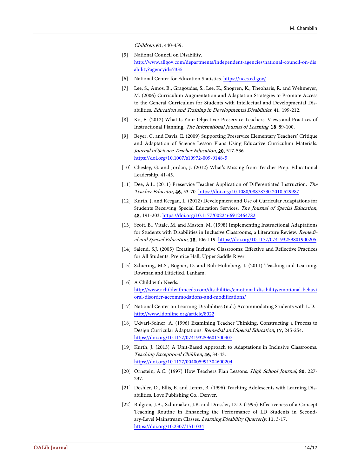Children, 61, 440-459.

- <span id="page-14-0"></span>[5] National Council on Disability. [http://www.allgov.com/departments/independent-agencies/national-council-on-dis](http://www.allgov.com/departments/independent-agencies/national-council-on-disability?agencyid=7335) [ability?agencyid=7335](http://www.allgov.com/departments/independent-agencies/national-council-on-disability?agencyid=7335)
- [6] National Center for Education Statistics. <https://nces.ed.gov/>
- <span id="page-14-2"></span><span id="page-14-1"></span>[7] Lee, S., Amos, B., Gragoudas, S., Lee, K., Shogren, K., Theoharis, R. and Wehmeyer, M. (2006) Curriculum Augmentation and Adaptation Strategies to Promote Access to the General Curriculum for Students with Intellectual and Developmental Disabilities. Education and Training in Developmental Disabilities, 41, 199-212.
- <span id="page-14-3"></span>[8] Ko, E. (2012) What Is Your Objective? Preservice Teachers' Views and Practices of Instructional Planning. The International Journal of Learning, 18, 89-100.
- <span id="page-14-4"></span>[9] Beyer, C. and Davis, E. (2009) Supporting Preservice Elementary Teachers' Critique and Adaptation of Science Lesson Plans Using Educative Curriculum Materials. Journal of Science Teacher Education, 20, 517-536. <https://doi.org/10.1007/s10972-009-9148-5>
- <span id="page-14-5"></span>[10] Chesley, G. and Jordan, J. (2012) What's Missing from Teacher Prep. Educational Leadership, 41-45.
- <span id="page-14-6"></span>[11] Dee, A.L. (2011) Preservice Teacher Application of Differentiated Instruction. The Teacher Educator, 46, 53-70. <https://doi.org/10.1080/08878730.2010.529987>
- <span id="page-14-7"></span>[12] Kurth, J. and Keegan, L. (2012) Development and Use of Curricular Adaptations for Students Receiving Special Education Services. The Journal of Special Education, 48, 191-203. <https://doi.org/10.1177/0022466912464782>
- <span id="page-14-8"></span>[13] Scott, B., Vitale, M. and Masten, M. (1998) Implementing Instructional Adaptations for Students with Disabilities in Inclusive Classrooms, a Literature Review. Remedial and Special Education, 18, 106-119. <https://doi.org/10.1177/074193259801900205>
- <span id="page-14-9"></span>[14] Salend, S.J. (2005) Creating Inclusive Classrooms: Effective and Reflective Practices for All Students. Prentice Hall, Upper Saddle River.
- <span id="page-14-10"></span>[15] Schiering, M.S., Bogner, D. and Buli-Holmberg, J. (2011) Teaching and Learning. Rowman and Littlefied, Lanham.
- <span id="page-14-11"></span>[16] A Child with Needs. [http://www.achildwithneeds.com/disabilities/emotional-disability/emotional-behavi](http://www.achildwithneeds.com/disabilities/emotional-disability/emotional-behavioral-disorder-accommodations-and-modifications/) [oral-disorder-accommodations-and-modifications/](http://www.achildwithneeds.com/disabilities/emotional-disability/emotional-behavioral-disorder-accommodations-and-modifications/)
- <span id="page-14-12"></span>[17] National Center on Learning Disabilities (n.d.) Accommodating Students with L.D. <http://www.ldonline.org/article/8022>
- <span id="page-14-13"></span>[18] Udvari-Solner, A. (1996) Examining Teacher Thinking, Constructing a Process to Design Curricular Adaptations. Remedial and Special Education, 17, 245-254. <https://doi.org/10.1177/074193259601700407>
- <span id="page-14-14"></span>[19] Kurth, J. (2013) A Unit-Based Approach to Adaptations in Inclusive Classrooms. Teaching Exceptional Children, 46, 34-43. <https://doi.org/10.1177/004005991304600204>
- <span id="page-14-15"></span>[20] Ornstein, A.C. (1997) How Teachers Plan Lessons. High School Journal, 80, 227-237.
- <span id="page-14-16"></span>[21] Deshler, D., Ellis, E. and Lennz, B. (1996) Teaching Adolescents with Learning Disabilities. Love Publishing Co., Denver.
- <span id="page-14-17"></span>[22] Bulgren, J.A., Schumaker, J.B. and Dressler, D.D. (1995) Effectiveness of a Concept Teaching Routine in Enhancing the Performance of LD Students in Secondary-Level Mainstream Classes. Learning Disability Quarterly, 11, 3-17. <https://doi.org/10.2307/1511034>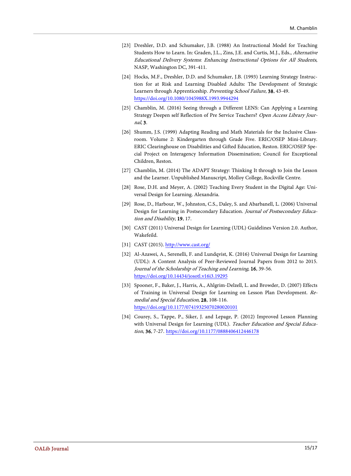- <span id="page-15-0"></span>[23] Dreshler, D.D. and Schumaker, J.B. (1988) An Instructional Model for Teaching Students How to Learn. In: Graden, J.L., Zins, J.E. and Curtis, M.J., Eds., Alternative Educational Delivery Systems: Enhancing Instructional Options for All Students, NASP, Washington DC, 391-411.
- <span id="page-15-1"></span>[24] Hocks, M.F., Dreshler, D.D. and Schumaker, J.B. (1993) Learning Strategy Instruction for at Risk and Learning Disabled Adults: The Development of Strategic Learners through Apprenticeship. Preventing School Failure, 38, 43-49. <https://doi.org/10.1080/1045988X.1993.9944294>
- <span id="page-15-2"></span>[25] Chamblin, M. (2016) Seeing through a Different LENS: Can Applying a Learning Strategy Deepen self Reflection of Pre Service Teachers? Open Access Library Journal, 3.
- <span id="page-15-3"></span>[26] Shumm, J.S. (1999) Adapting Reading and Math Materials for the Inclusive Classroom. Volume 2: Kindergarten through Grade Five. ERIC/OSEP Mini-Library. ERIC Clearinghouse on Disabilities and Gifted Education, Reston. ERIC/OSEP Special Project on Interagency Information Dissemination; Council for Exceptional Children, Reston.
- <span id="page-15-4"></span>[27] Chamblin, M. (2014) The ADAPT Strategy: Thinking It through to Join the Lesson and the Learner. Unpublished Manuscript, Molloy College, Rockville Centre.
- <span id="page-15-5"></span>[28] Rose, D.H. and Meyer, A. (2002) Teaching Every Student in the Digital Age: Universal Design for Learning. Alexandria.
- <span id="page-15-6"></span>[29] Rose, D., Harbour, W., Johnston, C.S., Daley, S. and Abarbanell, L. (2006) Universal Design for Learning in Postsecondary Education. Journal of Postsecondary Education and Disability, 19, 17.
- <span id="page-15-7"></span>[30] CAST (2011) Universal Design for Learning (UDL) Guidelines Version 2.0. Author, Wakefeild.
- [31] CAST (2015). <http://www.cast.org/>
- <span id="page-15-9"></span><span id="page-15-8"></span>[32] Al-Azawei, A., Serenelli, F. and Lundqvist, K. (2016) Universal Design for Learning (UDL): A Content Analysis of Peer-Reviewed Journal Papers from 2012 to 2015. Journal of the Scholarship of Teaching and Learning, 16, 39-56. <https://doi.org/10.14434/josotl.v16i3.19295>
- <span id="page-15-10"></span>[33] Spooner, F., Baker, J., Harris, A., Ahlgrim-Delzell, L. and Browder, D. (2007) Effects of Training in Universal Design for Learning on Lesson Plan Development. Remedial and Special Education, 28, 108-116. <https://doi.org/10.1177/07419325070280020101>
- <span id="page-15-11"></span>[34] Courey, S., Tappe, P., Siker, J. and Lepage, P. (2012) Improved Lesson Planning with Universal Design for Learning (UDL). Teacher Education and Special Education, 36, 7-27. <https://doi.org/10.1177/0888406412446178>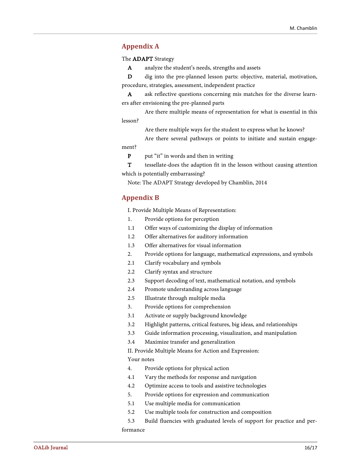# <span id="page-16-0"></span>**Appendix A**

The ADAPT Strategy

A analyze the student's needs, strengths and assets

D dig into the pre-planned lesson parts: objective, material, motivation, procedure, strategies, assessment, independent practice

A ask reflective questions concerning mis matches for the diverse learners after envisioning the pre-planned parts

Are there multiple means of representation for what is essential in this lesson?

Are there multiple ways for the student to express what he knows?

Are there several pathways or points to initiate and sustain engagement?

P put "it" in words and then in writing

T tessellate-does the adaption fit in the lesson without causing attention which is potentially embarrassing?

Note: The ADAPT Strategy developed by Chamblin, 2014

# <span id="page-16-1"></span>**Appendix B**

I. Provide Multiple Means of Representation:

- 1. Provide options for perception
- 1.1 Offer ways of customizing the display of information
- 1.2 Offer alternatives for auditory information
- 1.3 Offer alternatives for visual information
- 2. Provide options for language, mathematical expressions, and symbols
- 2.1 Clarify vocabulary and symbols
- 2.2 Clarify syntax and structure
- 2.3 Support decoding of text, mathematical notation, and symbols
- 2.4 Promote understanding across language
- 2.5 Illustrate through multiple media
- 3. Provide options for comprehension
- 3.1 Activate or supply background knowledge
- 3.2 Highlight patterns, critical features, big ideas, and relationships
- 3.3 Guide information processing, visualization, and manipulation
- 3.4 Maximize transfer and generalization

II. Provide Multiple Means for Action and Expression:

#### Your notes

- 4. Provide options for physical action
- 4.1 Vary the methods for response and navigation
- 4.2 Optimize access to tools and assistive technologies
- 5. Provide options for expression and communication
- 5.1 Use multiple media for communication
- 5.2 Use multiple tools for construction and composition
- 5.3 Build fluencies with graduated levels of support for practice and performance